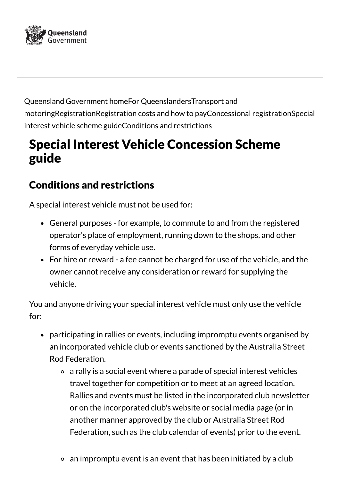

Queensland [Government](https://www.qld.gov.au/) homeFor [Queenslanders](https://www.qld.gov.au/queenslanders)Transport and [motoringRegistrationRegistration](https://www.qld.gov.au/transport) costs and how to pay[Concessional](https://www.qld.gov.au/transport/registration/fees/concession) registrationSpecial interest vehicle scheme guideConditions and restrictions

## Special Interest Vehicle Concession Scheme guide

## Conditions and restrictions

A special interest vehicle must not be used for:

- General purposes for example, to commute to and from the registered operator's place of employment, running down to the shops, and other forms of everyday vehicle use.
- For hire or reward a fee cannot be charged for use of the vehicle, and the owner cannot receive any consideration or reward for supplying the vehicle.

You and anyone driving your special interest vehicle must only use the vehicle for:

- participating in rallies or events, including impromptu events organised by an incorporated vehicle club or events sanctioned by the Australia Street Rod Federation.
	- a rally is a social event where a parade of special interest vehicles travel together for competition or to meet at an agreed location. Rallies and events must be listed in the incorporated club newsletter or on the incorporated club's website or social media page (or in another manner approved by the club or Australia Street Rod Federation, such as the club calendar of events) prior to the event.
	- an impromptu event is an event that has been initiated by a club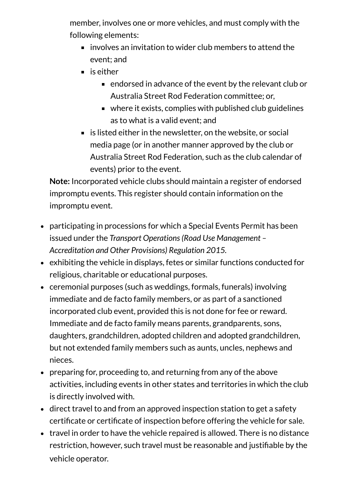member, involves one or more vehicles, and must comply with the following elements:

- $\blacksquare$  involves an invitation to wider club members to attend the event; and
- $\blacksquare$  is either
	- endorsed in advance of the event by the relevant club or Australia Street Rod Federation committee; or,
	- where it exists, complies with published club guidelines as to what is a valid event; and
- $\blacksquare$  is listed either in the newsletter, on the website, or social media page (or in another manner approved by the club or Australia Street Rod Federation, such as the club calendar of events) prior to the event.

**Note:** Incorporated vehicle clubs should maintain a register of endorsed impromptu events. This register should contain information on the impromptu event.

- participating in processions for which a Special Events Permit has been issued under the *Transport Operations(Road Use Management – Accreditation and Other Provisions) Regulation 2015.*
- exhibiting the vehicle in displays, fetes or similar functions conducted for religious, charitable or educational purposes.
- ceremonial purposes (such as weddings, formals, funerals) involving immediate and de facto family members, or as part of a sanctioned incorporated club event, provided this is not done for fee or reward. Immediate and de facto family means parents, grandparents, sons, daughters, grandchildren, adopted children and adopted grandchildren, but not extended family members such as aunts, uncles, nephews and nieces.
- preparing for, proceeding to, and returning from any of the above activities, including events in other states and territories in which the club is directly involved with.
- direct travel to and from an approved inspection station to get a safety certificate or certificate of inspection before offering the vehicle for sale.
- $\bullet$  travel in order to have the vehicle repaired is allowed. There is no distance restriction, however, such travel must be reasonable and justifiable by the vehicle operator.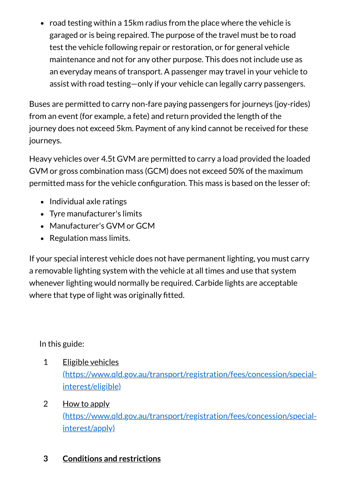$\bullet$  road testing within a 15km radius from the place where the vehicle is garaged or is being repaired. The purpose of the travel must be to road test the vehicle following repair or restoration, or for general vehicle maintenance and not for any other purpose. This does not include use as an everyday means of transport. A passenger may travel in your vehicle to assist with road testing—only if your vehicle can legally carry passengers.

Buses are permitted to carry non-fare paying passengers for journeys (joy-rides) from an event (for example, a fete) and return provided the length of the journey does not exceed 5km. Payment of any kind cannot be received for these journeys.

Heavy vehicles over 4.5t GVM are permitted to carry a load provided the loaded GVM or gross combination mass (GCM) does not exceed 50% of the maximum permitted mass for the vehicle configuration. This mass is based on the lesser of:

- Individual axle ratings
- Tyre manufacturer's limits
- Manufacturer's GVM or GCM
- Regulation mass limits.

If your special interest vehicle does not have permanent lighting, you must carry a removable lighting system with the vehicle at all times and use that system whenever lighting would normally be required. Carbide lights are acceptable where that type of light was originally fitted.

In this guide:

- Eligible vehicles [\(https://www.qld.gov.au/transport/registration/fees/concession/special](https://www.qld.gov.au/transport/registration/fees/concession/special-interest/eligible)interest/eligible) 1
- How to apply [\(https://www.qld.gov.au/transport/registration/fees/concession/special](https://www.qld.gov.au/transport/registration/fees/concession/special-interest/apply)interest/apply) 2

## **Conditions and [restrictions](https://www.qld.gov.au/transport/registration/fees/concession/special-interest/restrictions) 3**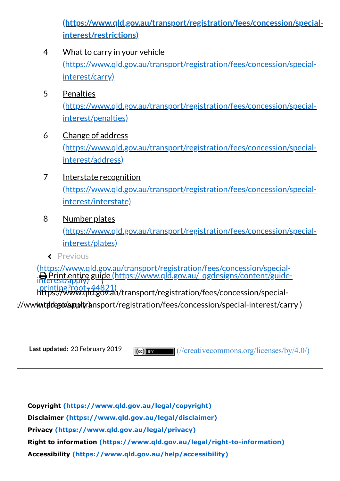**[\(https://www.qld.gov.au/transport/registration/fees/concession/special](https://www.qld.gov.au/transport/registration/fees/concession/special-interest/restrictions)interest/restrictions)**

- What to carry in your vehicle [\(https://www.qld.gov.au/transport/registration/fees/concession/special](https://www.qld.gov.au/transport/registration/fees/concession/special-interest/carry)interest/carry) 4
- **Penalties** [\(https://www.qld.gov.au/transport/registration/fees/concession/special](https://www.qld.gov.au/transport/registration/fees/concession/special-interest/penalties)interest/penalties) 5
- Change of address [\(https://www.qld.gov.au/transport/registration/fees/concession/special](https://www.qld.gov.au/transport/registration/fees/concession/special-interest/address)interest/address) 6
- Interstate recognition [\(https://www.qld.gov.au/transport/registration/fees/concession/special](https://www.qld.gov.au/transport/registration/fees/concession/special-interest/interstate)interest/interstate) 7
- Number plates [\(https://www.qld.gov.au/transport/registration/fees/concession/special](https://www.qld.gov.au/transport/registration/fees/concession/special-interest/plates)interest/plates) 8
	- Previous

 Print entire guide [\(https://www.qld.gov.au/\\_qgdesigns/content/guide](https://www.qld.gov.au/_qgdesigns/content/guide-printing?root=44821)printing?root=44821) [\(https://www.qld.gov.au/transport/registration/fees/concession/special](https://www.qld.gov.au/transport/registration/fees/concession/special-interest/apply)interest/apply) <sup>891</sup> https://www.qld.gov.au/transport/registration/fees/concession/special-

://www.thelestyla. registration/fees/concession/special-interest/carry )

**Last updated:** 20 February 2019

 $(cc)$  BY [\(//creativecommons.org/licenses/by/4.0/\)](https://creativecommons.org/licenses/by/4.0/)

**[Copyright \(https://www.qld.gov.au/legal/copyright\)](https://www.qld.gov.au/legal/copyright) [Disclaimer \(https://www.qld.gov.au/legal/disclaimer\)](https://www.qld.gov.au/legal/disclaimer) [Privacy \(https://www.qld.gov.au/legal/privacy\)](https://www.qld.gov.au/legal/privacy) [Right to information \(https://www.qld.gov.au/legal/right-to-information\)](https://www.qld.gov.au/legal/right-to-information) [Accessibility \(https://www.qld.gov.au/help/accessibility\)](https://www.qld.gov.au/help/accessibility)**